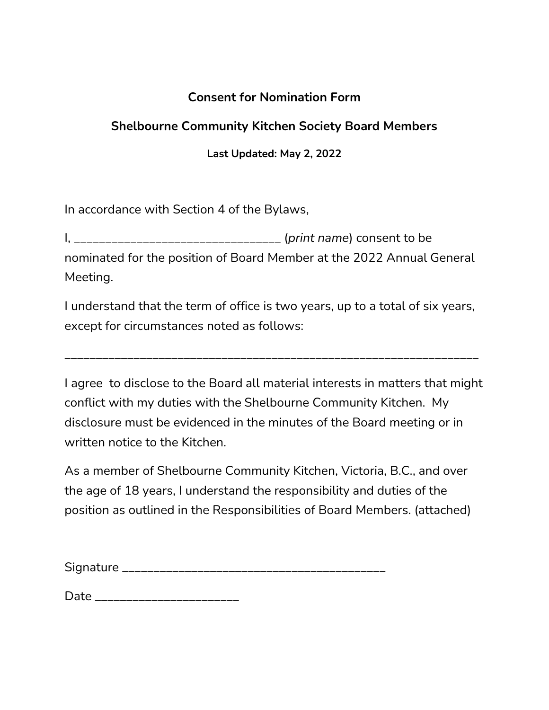# **Consent for Nomination Form**

# **Shelbourne Community Kitchen Society Board Members**

**Last Updated: May 2, 2022**

In accordance with Section 4 of the Bylaws,

I, \_\_\_\_\_\_\_\_\_\_\_\_\_\_\_\_\_\_\_\_\_\_\_\_\_\_\_\_\_\_\_\_\_ (*print name*) consent to be nominated for the position of Board Member at the 2022 Annual General Meeting.

I understand that the term of office is two years, up to a total of six years, except for circumstances noted as follows:

\_\_\_\_\_\_\_\_\_\_\_\_\_\_\_\_\_\_\_\_\_\_\_\_\_\_\_\_\_\_\_\_\_\_\_\_\_\_\_\_\_\_\_\_\_\_\_\_\_\_\_\_\_\_\_\_\_\_\_\_\_\_\_\_\_\_

I agree to disclose to the Board all material interests in matters that might conflict with my duties with the Shelbourne Community Kitchen. My disclosure must be evidenced in the minutes of the Board meeting or in written notice to the Kitchen.

As a member of Shelbourne Community Kitchen, Victoria, B.C., and over the age of 18 years, I understand the responsibility and duties of the position as outlined in the Responsibilities of Board Members. (attached)

| Signature |  |
|-----------|--|
|           |  |
|           |  |

Date \_\_\_\_\_\_\_\_\_\_\_\_\_\_\_\_\_\_\_\_\_\_\_\_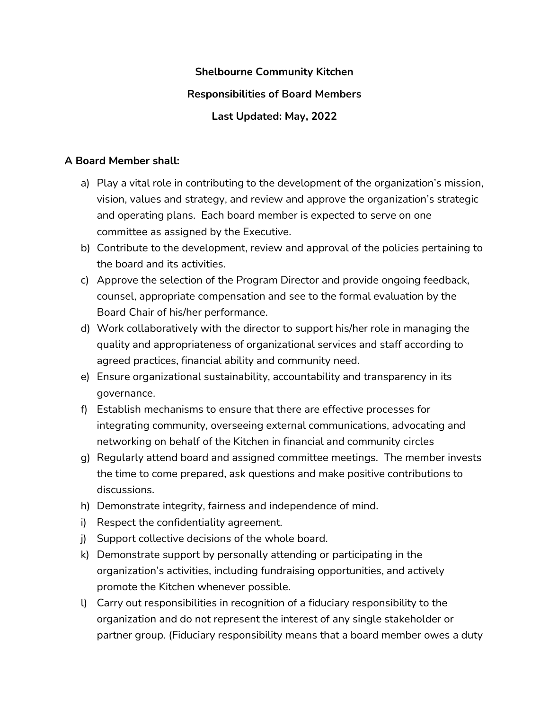### **Shelbourne Community Kitchen**

#### **Responsibilities of Board Members**

### **Last Updated: May, 2022**

#### **A Board Member shall:**

- a) Play a vital role in contributing to the development of the organization's mission, vision, values and strategy, and review and approve the organization's strategic and operating plans. Each board member is expected to serve on one committee as assigned by the Executive.
- b) Contribute to the development, review and approval of the policies pertaining to the board and its activities.
- c) Approve the selection of the Program Director and provide ongoing feedback, counsel, appropriate compensation and see to the formal evaluation by the Board Chair of his/her performance.
- d) Work collaboratively with the director to support his/her role in managing the quality and appropriateness of organizational services and staff according to agreed practices, financial ability and community need.
- e) Ensure organizational sustainability, accountability and transparency in its governance.
- f) Establish mechanisms to ensure that there are effective processes for integrating community, overseeing external communications, advocating and networking on behalf of the Kitchen in financial and community circles
- g) Regularly attend board and assigned committee meetings. The member invests the time to come prepared, ask questions and make positive contributions to discussions.
- h) Demonstrate integrity, fairness and independence of mind.
- i) Respect the confidentiality agreement.
- j) Support collective decisions of the whole board.
- k) Demonstrate support by personally attending or participating in the organization's activities, including fundraising opportunities, and actively promote the Kitchen whenever possible.
- l) Carry out responsibilities in recognition of a fiduciary responsibility to the organization and do not represent the interest of any single stakeholder or partner group. (Fiduciary responsibility means that a board member owes a duty